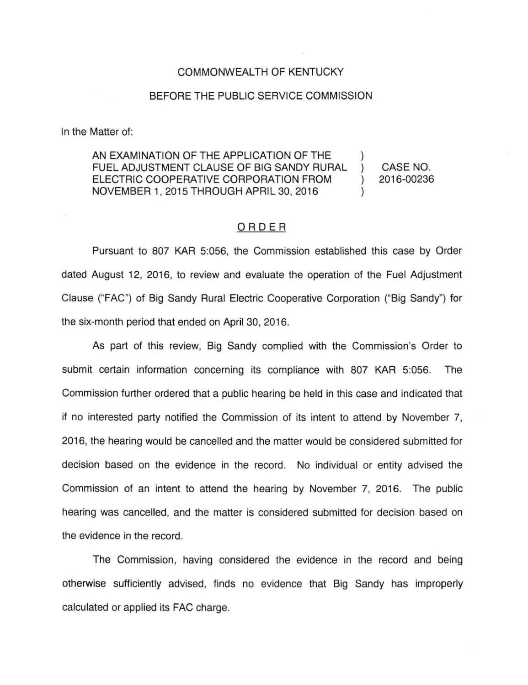## COMMONWEALTH OF KENTUCKY

## BEFORE THE PUBLIC SERVICE COMMISSION

In the Matter of:

AN EXAMINATION OF THE APPLICATION OF THE  $\qquad$  ) FUEL ADJUSTMENT CLAUSE OF BIG SANDY RURAL ) ELECTRIC COOPERATIVE CORPORATION FROM  $\qquad$ ) NOVEMBER 1, 2015 THROUGH APRIL 30, 2016 )

CASE NO. 2016-00236

## ORDER

Pursuant to 807 KAR 5:056, the Commission established this case by Order dated August 12, 2016, to review and evaluate the operation of the Fuel Adjustment Clause ("FAC") of Big Sandy Rural Electric Cooperative Corporation ("Big Sandy") for the six-month period that ended on April 30, 2016.

As part of this review, Big Sandy complied with the Commission's Order to submit certain information concerning its compliance with 807 KAR 5:056. The Commission further ordered that a public hearing be held in this case and indicated that if no interested party notified the Commission of its intent to attend by November 7, 2016, the hearing would be cancelled and the matter would be considered submitted for decision based on the evidence in the record. No individual or entity advised the Commission of an intent to attend the hearing by November 7, 2016. The public hearing was cancelled, and the matter is considered submitted for decision based on the evidence in the record.

The Commission, having considered the evidence in the record and being otherwise sufficiently advised, finds no evidence that Big Sandy has improperly calculated or applied its FAC charge.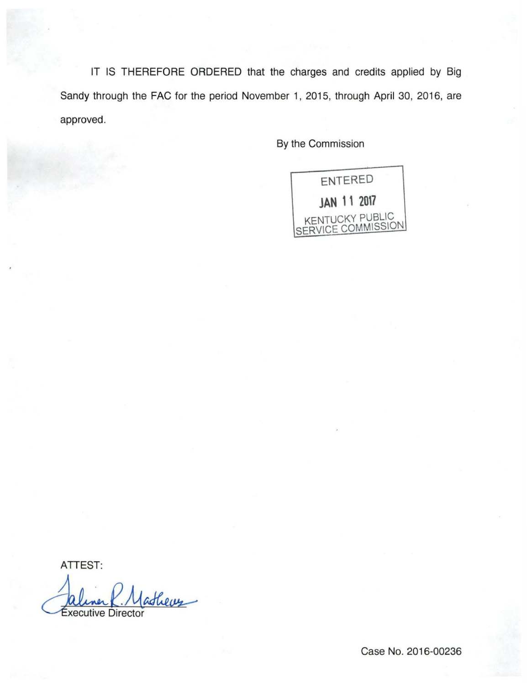IT IS THEREFORE ORDERED that the charges and credits applied by Big Sandy through the FAC for the period November 1, 2015, through April 30, 2016, are approved.

By the Commission



ATTEST:

ATTEST:<br>Caliner P. Matheus

Case No. 2016-00236